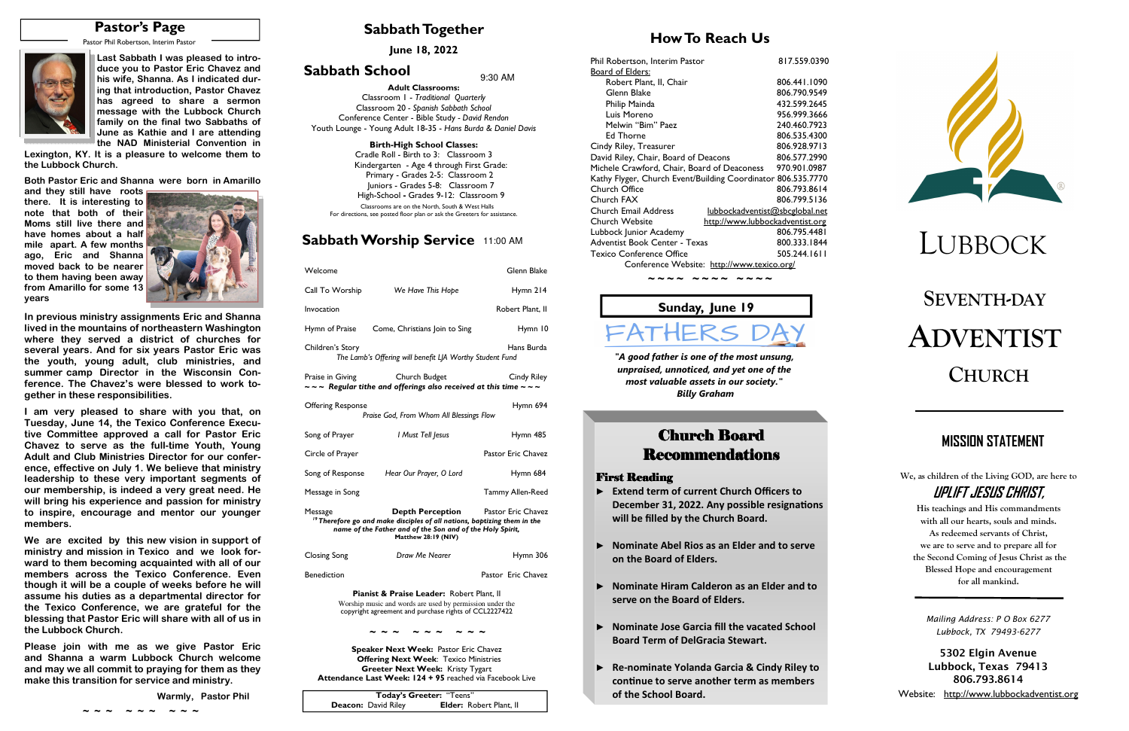# **SEVENTH-DAYADVENTISTCHURCH**

## **Sabbath Together**

### **How To Reach Us**

# **Sabbath Worship Service** 11:00 AM

**June 18, 2022** 

# **Sabbath School**  $9:30$  AM

# LUBBOCK

| Welcome                  |                                                                                                                                                                                                                       | Glenn Blake        |
|--------------------------|-----------------------------------------------------------------------------------------------------------------------------------------------------------------------------------------------------------------------|--------------------|
| Call To Worship          | We Have This Hope                                                                                                                                                                                                     | Hymn $214$         |
| Invocation               |                                                                                                                                                                                                                       | Robert Plant, II   |
| Hymn of Praise           | Come, Christians Join to Sing                                                                                                                                                                                         | Hymn 10            |
| Children's Story         | The Lamb's Offering will benefit LJA Worthy Student Fund                                                                                                                                                              | Hans Burda         |
| Praise in Giving         | Church Budget<br>$\sim$ $\sim$ Regular tithe and offerings also received at this time $\sim$ $\sim$ $\sim$                                                                                                            | Cindy Riley        |
| <b>Offering Response</b> | Praise God, From Whom All Blessings Flow                                                                                                                                                                              | Hymn 694           |
| Song of Prayer           | I Must Tell Jesus                                                                                                                                                                                                     | Hymn 485           |
| Circle of Prayer         |                                                                                                                                                                                                                       | Pastor Eric Chavez |
|                          | Song of Response Hear Our Prayer, O Lord                                                                                                                                                                              | Hymn 684           |
| Message in Song          |                                                                                                                                                                                                                       | Tammy Allen-Reed   |
| Message                  | <b>Depth Perception</b> Pastor Eric Chavez<br><sup>19</sup> Therefore go and make disciples of all nations, baptizing them in the<br>name of the Father and of the Son and of the Holy Spirit,<br>Matthew 28:19 (NIV) |                    |
| Closing Song             | Draw Me Nearer                                                                                                                                                                                                        | Hymn 306           |
| <b>Benediction</b>       |                                                                                                                                                                                                                       | Pastor Eric Chavez |
|                          | Pianist & Praise Leader: Robert Plant II                                                                                                                                                                              |                    |

**Pianist & Praise Leader:** Robert Plant, II Worship music and words are used by permission under the copyright agreement and purchase rights of CCL2227422

**Speaker Next Week:** Pastor Eric Chavez  **Offering Next Week**: Texico Ministries **Greeter Next Week:** Kristy Tygart **Attendance Last Week: 124 + 95** reached via Facebook Live **We, as children of the Living GOD, are here to UPLIFT JESUS CHRIST,** 

**His teachings and His commandments with all our hearts, souls and minds. As redeemed servants of Christ, we are to serve and to prepare all for the Second Coming of Jesus Christ as the Blessed Hope and encouragement for all mankind.** 

# **MISSION STATEMENT**

*"A good father is one of the most unsung, unpraised, unnoticed, and yet one of the most valuable assets in our society." Billy Graham*

# **Church Board Recommendations**

### **First Reading**

**Adult Classrooms:** Classroom 1 - *Traditional Quarterly*  Classroom 20 *- Spanish Sabbath School*  Conference Center - Bible Study *- David Rendon* Youth Lounge - Young Adult 18-35 - *Hans Burda & Daniel Davis*

### **Birth-High School Classes:**

 Cradle Roll - Birth to 3: Classroom 3 Kindergarten - Age 4 through First Grade: Primary - Grades 2-5: Classroom 2 Juniors - Grades 5-8: Classroom 7 High-School **-** Grades 9-12: Classroom 9Classrooms are on the North, South & West Halls

For directions, see posted floor plan or ask the Greeters for assistance.

# **Sunday, June 19**

FATHERS

|                            | Today's Greeter: "Teens"       |
|----------------------------|--------------------------------|
| <b>Deacon:</b> David Riley | <b>Elder: Robert Plant, II</b> |

# **Pastor's Page**

Pastor Phil Robertson, Interim Pastor



#### **~ ~ ~ ~ ~ ~ ~ ~ ~**

| Phil Robertson, Interim Pastor                               | 817.559.0390 |
|--------------------------------------------------------------|--------------|
| <u>Board of Elders:</u>                                      |              |
| Robert Plant, II, Chair                                      | 806.441.1090 |
| Glenn Blake                                                  | 806.790.9549 |
| Philip Mainda                                                | 432.599.2645 |
| Luis Moreno                                                  | 956.999.3666 |
| Melwin "Bim" Paez                                            | 240.460.7923 |
| Ed Thorne                                                    | 806.535.4300 |
| Cindy Riley, Treasurer                                       | 806.928.9713 |
| David Riley, Chair, Board of Deacons                         | 806.577.2990 |
| Michele Crawford, Chair, Board of Deaconess                  | 970.901.0987 |
| Kathy Flyger, Church Event/Building Coordinator 806.535.7770 |              |
| Church Office                                                | 806.793.8614 |
| Church FAX                                                   | 806.799.5136 |
| Church Email Address<br>lubbockadventist@sbcglobal.net       |              |
| Church Website<br>http://www.lubbockadventist.org            |              |
| Lubbock Junior Academy                                       | 806.795.4481 |
| Adventist Book Center - Texas                                | 800.333.1844 |
| <b>Texico Conference Office</b>                              | 505.244.1611 |
|                                                              |              |

**Please join with me and Shanna a warm Lubbock Church welcome and may we all commit to praying for them as they make this transition for service and ministry.** 

| n Texico and we look for-<br>ng acquainted with all of our                                                           | Clo |
|----------------------------------------------------------------------------------------------------------------------|-----|
| Texico Conference. Even<br>uple of weeks before he will<br>a departmental director for<br>e, we are grateful for the | Ben |
| ric will share with all of us in                                                                                     |     |
| as we give Pastor Eric<br><b>Lubbock Church welcome</b>                                                              |     |

Conference Website: http://www.texico.org/

*~ ~ ~ ~ ~ ~ ~ ~ ~ ~ ~ ~*

- ► **Extend term of current Church Officers to December 31, 2022. Any possible resignations will be filled by the Church Board.**
- ► **Nominate Abel Rios as an Elder and to serve on the Board of Elders.**
- ► **Nominate Hiram Calderon as an Elder and to serve on the Board of Elders.**
- ► **Nominate Jose Garcia fill the vacated School Board Term of DelGracia Stewart.**
- ► **Re-nominate Yolanda Garcia & Cindy Riley to**  continue to serve another term as members **of the School Board.**



**Last Sabbath I was pleased to introduce you to Pastor Eric Chavez and his wife, Shanna. As I indicated during that introduction, Pastor Chavez has agreed to share a sermon message with the Lubbock Church family on the final two Sabbaths of June as Kathie and I are attending the NAD Ministerial Convention in** 

 **Lexington, KY. It is a pleasure to welcome them to the Lubbock Church.** 

**Both Pastor Eric and Shanna were born in Amarillo** 

**and they still have roots there. It is interesting to note that both of their Moms still live there and have homes about a half mile apart. A few months ago, Eric and Shanna moved back to be nearer to them having been away from Amarillo for some 13 years** 



**In previous ministry assignments Eric and Shanna lived in the mountains of northeastern Washington where they served a district of churches for several years. And for six years Pastor Eric was the youth, young adult, club ministries, and summer camp Director in the Wisconsin Conference. The Chavez's were blessed to work together in these responsibilities.** 

**I am very pleased to share with you that, on Tuesday, June 14, the Texico Conference Executive Committee approved a call for Pastor Eric Chavez to serve as the full-time Youth, Young Adult and Club Ministries Director for our conference, effective on July 1. We believe that ministry leadership to these very important segments of our membership, is indeed a very great need. He will bring his experience and passion for ministry to inspire, encourage and mentor our younger members.** 

**We are excited by this new vision in support of** ministry and mission in Texico and we ward to them becoming members across the though it will be a couple assume his duties as **the Texico Conference blessing that Pastor Erable the Lubbock Church.** 

*Mailing Address: P O Box 6277 Lubbock, TX 79493-6277* 

 **Warmly, Pastor Phil ~ ~ ~ ~ ~ ~ ~ ~ ~** 

**5302 Elgin Avenue Lubbock, Texas 79413 806.793.8614** 

Website: http://www.lubbockadventist.org